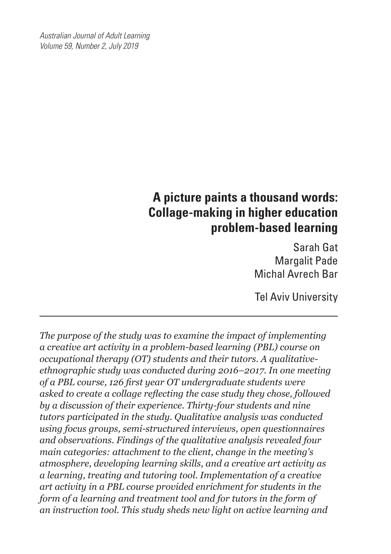*Australian Journal of Adult Learning Volume 59, Number 2, July 2019*

# **A picture paints a thousand words: Collage-making in higher education problem-based learning**

Sarah Gat Margalit Pade Michal Avrech Bar

Tel Aviv University

*The purpose of the study was to examine the impact of implementing a creative art activity in a problem-based learning (PBL) course on occupational therapy (OT) students and their tutors. A qualitativeethnographic study was conducted during 2016–2017. In one meeting of a PBL course, 126 first year OT undergraduate students were asked to create a collage reflecting the case study they chose, followed by a discussion of their experience. Thirty-four students and nine tutors participated in the study. Qualitative analysis was conducted using focus groups, semi-structured interviews, open questionnaires and observations. Findings of the qualitative analysis revealed four main categories: attachment to the client, change in the meeting's atmosphere, developing learning skills, and a creative art activity as a learning, treating and tutoring tool. Implementation of a creative art activity in a PBL course provided enrichment for students in the form of a learning and treatment tool and for tutors in the form of an instruction tool. This study sheds new light on active learning and*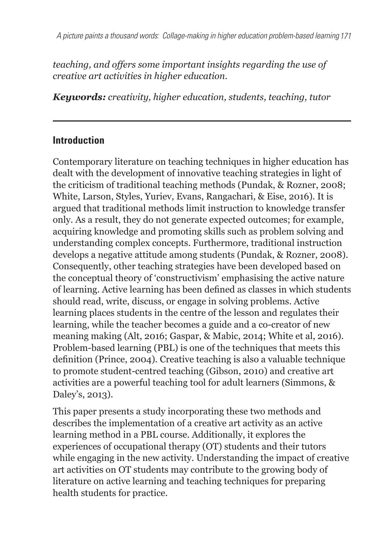*teaching, and offers some important insights regarding the use of creative art activities in higher education.*

*Keywords: creativity, higher education, students, teaching, tutor*

#### **Introduction**

Contemporary literature on teaching techniques in higher education has dealt with the development of innovative teaching strategies in light of the criticism of traditional teaching methods (Pundak, & Rozner, 2008; White, Larson, Styles, Yuriev, Evans, Rangachari, & Eise, 2016). It is argued that traditional methods limit instruction to knowledge transfer only. As a result, they do not generate expected outcomes; for example, acquiring knowledge and promoting skills such as problem solving and understanding complex concepts. Furthermore, traditional instruction develops a negative attitude among students (Pundak, & Rozner, 2008). Consequently, other teaching strategies have been developed based on the conceptual theory of 'constructivism' emphasising the active nature of learning. Active learning has been defined as classes in which students should read, write, discuss, or engage in solving problems. Active learning places students in the centre of the lesson and regulates their learning, while the teacher becomes a guide and a co-creator of new meaning making (Alt, 2016; Gaspar, & Mabic, 2014; White et al, 2016). Problem-based learning (PBL) is one of the techniques that meets this definition (Prince, 2004). Creative teaching is also a valuable technique to promote student-centred teaching (Gibson, 2010) and creative art activities are a powerful teaching tool for adult learners (Simmons, & Daley's, 2013).

This paper presents a study incorporating these two methods and describes the implementation of a creative art activity as an active learning method in a PBL course. Additionally, it explores the experiences of occupational therapy (OT) students and their tutors while engaging in the new activity. Understanding the impact of creative art activities on OT students may contribute to the growing body of literature on active learning and teaching techniques for preparing health students for practice.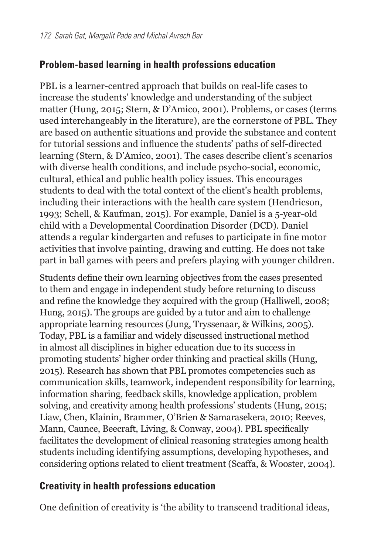### **Problem-based learning in health professions education**

PBL is a learner-centred approach that builds on real-life cases to increase the students' knowledge and understanding of the subject matter (Hung, 2015; Stern, & D'Amico, 2001). Problems, or cases (terms used interchangeably in the literature), are the cornerstone of PBL. They are based on authentic situations and provide the substance and content for tutorial sessions and influence the students' paths of self-directed learning (Stern, & D'Amico, 2001). The cases describe client's scenarios with diverse health conditions, and include psycho-social, economic, cultural, ethical and public health policy issues. This encourages students to deal with the total context of the client's health problems, including their interactions with the health care system (Hendricson, 1993; Schell, & Kaufman, 2015). For example, Daniel is a 5-year-old child with a Developmental Coordination Disorder (DCD). Daniel attends a regular kindergarten and refuses to participate in fine motor activities that involve painting, drawing and cutting. He does not take part in ball games with peers and prefers playing with younger children.

Students define their own learning objectives from the cases presented to them and engage in independent study before returning to discuss and refine the knowledge they acquired with the group (Halliwell, 2008; Hung, 2015). The groups are guided by a tutor and aim to challenge appropriate learning resources (Jung, Tryssenaar, & Wilkins, 2005). Today, PBL is a familiar and widely discussed instructional method in almost all disciplines in higher education due to its success in promoting students' higher order thinking and practical skills (Hung, 2015). Research has shown that PBL promotes competencies such as communication skills, teamwork, independent responsibility for learning, information sharing, feedback skills, knowledge application, problem solving, and creativity among health professions' students (Hung, 2015; Liaw, Chen, Klainin, Brammer, O'Brien & Samarasekera, 2010; Reeves, Mann, Caunce, Beecraft, Living, & Conway, 2004). PBL specifically facilitates the development of clinical reasoning strategies among health students including identifying assumptions, developing hypotheses, and considering options related to client treatment (Scaffa, & Wooster, 2004).

### **Creativity in health professions education**

One definition of creativity is 'the ability to transcend traditional ideas,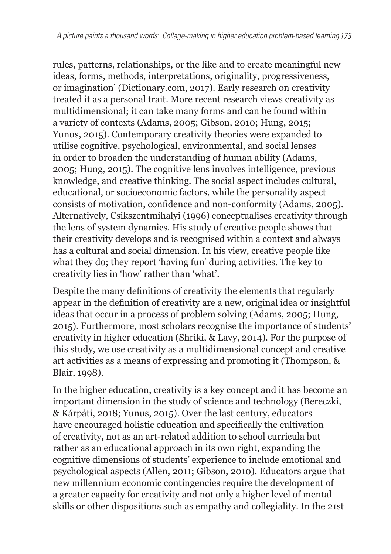rules, patterns, relationships, or the like and to create meaningful new ideas, forms, methods, interpretations, originality, progressiveness, or imagination' (Dictionary.com, 2017). Early research on creativity treated it as a personal trait. More recent research views creativity as multidimensional; it can take many forms and can be found within a variety of contexts (Adams, 2005; Gibson, 2010; Hung, 2015; Yunus, 2015). Contemporary creativity theories were expanded to utilise cognitive, psychological, environmental, and social lenses in order to broaden the understanding of human ability (Adams, 2005; Hung, 2015). The cognitive lens involves intelligence, previous knowledge, and creative thinking. The social aspect includes cultural, educational, or socioeconomic factors, while the personality aspect consists of motivation, confidence and non-conformity (Adams, 2005). Alternatively, Csikszentmihalyi (1996) conceptualises creativity through the lens of system dynamics. His study of creative people shows that their creativity develops and is recognised within a context and always has a cultural and social dimension. In his view, creative people like what they do; they report 'having fun' during activities. The key to creativity lies in 'how' rather than 'what'.

Despite the many definitions of creativity the elements that regularly appear in the definition of creativity are a new, original idea or insightful ideas that occur in a process of problem solving (Adams, 2005; Hung, 2015). Furthermore, most scholars recognise the importance of students' creativity in higher education (Shriki, & Lavy, 2014). For the purpose of this study, we use creativity as a multidimensional concept and creative art activities as a means of expressing and promoting it (Thompson, & Blair, 1998).

In the higher education, creativity is a key concept and it has become an important dimension in the study of science and technology (Bereczki, & Kárpáti, 2018; Yunus, 2015). Over the last century, educators have encouraged holistic education and specifically the cultivation of creativity, not as an art-related addition to school curricula but rather as an educational approach in its own right, expanding the cognitive dimensions of students' experience to include emotional and psychological aspects (Allen, 2011; Gibson, 2010). Educators argue that new millennium economic contingencies require the development of a greater capacity for creativity and not only a higher level of mental skills or other dispositions such as empathy and collegiality. In the 21st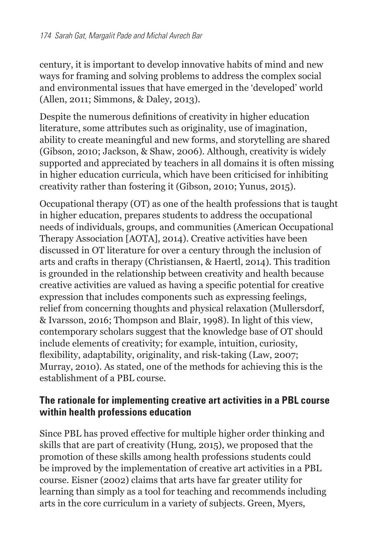century, it is important to develop innovative habits of mind and new ways for framing and solving problems to address the complex social and environmental issues that have emerged in the 'developed' world (Allen, 2011; Simmons, & Daley, 2013).

Despite the numerous definitions of creativity in higher education literature, some attributes such as originality, use of imagination, ability to create meaningful and new forms, and storytelling are shared (Gibson, 2010; Jackson, & Shaw, 2006). Although, creativity is widely supported and appreciated by teachers in all domains it is often missing in higher education curricula, which have been criticised for inhibiting creativity rather than fostering it (Gibson, 2010; Yunus, 2015).

Occupational therapy (OT) as one of the health professions that is taught in higher education, prepares students to address the occupational needs of individuals, groups, and communities (American Occupational Therapy Association [AOTA], 2014). Creative activities have been discussed in OT literature for over a century through the inclusion of arts and crafts in therapy (Christiansen, & Haertl, 2014). This tradition is grounded in the relationship between creativity and health because creative activities are valued as having a specific potential for creative expression that includes components such as expressing feelings, relief from concerning thoughts and physical relaxation (Mullersdorf, & Ivarsson, 2016; Thompson and Blair, 1998). In light of this view, contemporary scholars suggest that the knowledge base of OT should include elements of creativity; for example, intuition, curiosity, flexibility, adaptability, originality, and risk-taking (Law, 2007; Murray, 2010). As stated, one of the methods for achieving this is the establishment of a PBL course.

### **The rationale for implementing creative art activities in a PBL course within health professions education**

Since PBL has proved effective for multiple higher order thinking and skills that are part of creativity (Hung, 2015), we proposed that the promotion of these skills among health professions students could be improved by the implementation of creative art activities in a PBL course. Eisner (2002) claims that arts have far greater utility for learning than simply as a tool for teaching and recommends including arts in the core curriculum in a variety of subjects. Green, Myers,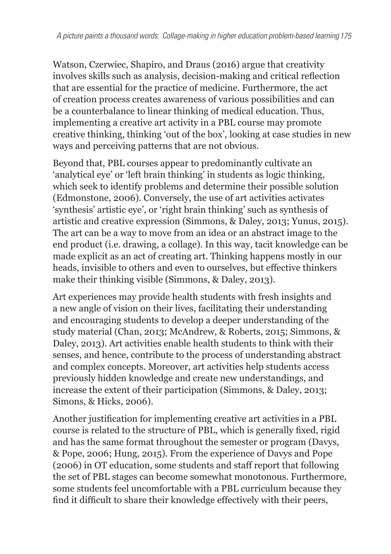Watson, Czerwiec, Shapiro, and Draus (2016) argue that creativity involves skills such as analysis, decision-making and critical reflection that are essential for the practice of medicine. Furthermore, the act of creation process creates awareness of various possibilities and can be a counterbalance to linear thinking of medical education. Thus, implementing a creative art activity in a PBL course may promote creative thinking, thinking 'out of the box', looking at case studies in new ways and perceiving patterns that are not obvious.

Beyond that, PBL courses appear to predominantly cultivate an 'analytical eye' or 'left brain thinking' in students as logic thinking, which seek to identify problems and determine their possible solution (Edmonstone, 2006). Conversely, the use of art activities activates 'synthesis' artistic eye', or 'right brain thinking' such as synthesis of artistic and creative expression (Simmons, & Daley, 2013; Yunus, 2015). The art can be a way to move from an idea or an abstract image to the end product (i.e. drawing, a collage). In this way, tacit knowledge can be made explicit as an act of creating art. Thinking happens mostly in our heads, invisible to others and even to ourselves, but effective thinkers make their thinking visible (Simmons, & Daley, 2013).

Art experiences may provide health students with fresh insights and a new angle of vision on their lives, facilitating their understanding and encouraging students to develop a deeper understanding of the study material (Chan, 2013; McAndrew, & Roberts, 2015; Simmons, & Daley, 2013). Art activities enable health students to think with their senses, and hence, contribute to the process of understanding abstract and complex concepts. Moreover, art activities help students access previously hidden knowledge and create new understandings, and increase the extent of their participation (Simmons, & Daley, 2013; Simons, & Hicks, 2006).

Another justification for implementing creative art activities in a PBL course is related to the structure of PBL, which is generally fixed, rigid and has the same format throughout the semester or program (Davys, & Pope, 2006; Hung, 2015). From the experience of Davys and Pope (2006) in OT education, some students and staff report that following the set of PBL stages can become somewhat monotonous. Furthermore, some students feel uncomfortable with a PBL curriculum because they find it difficult to share their knowledge effectively with their peers,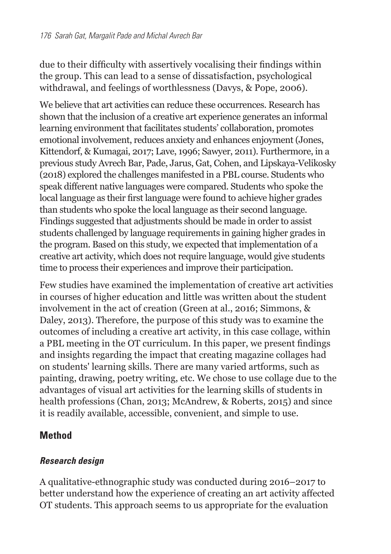due to their difficulty with assertively vocalising their findings within the group. This can lead to a sense of dissatisfaction, psychological withdrawal, and feelings of worthlessness (Davys, & Pope, 2006).

We believe that art activities can reduce these occurrences. Research has shown that the inclusion of a creative art experience generates an informal learning environment that facilitates students' collaboration, promotes emotional involvement, reduces anxiety and enhances enjoyment (Jones, Kittendorf, & Kumagai, 2017; Lave, 1996; Sawyer, 2011). Furthermore, in a previous study Avrech Bar, Pade, Jarus, Gat, Cohen, and Lipskaya-Velikosky (2018) explored the challenges manifested in a PBL course. Students who speak different native languages were compared. Students who spoke the local language as their first language were found to achieve higher grades than students who spoke the local language as their second language. Findings suggested that adjustments should be made in order to assist students challenged by language requirements in gaining higher grades in the program. Based on this study, we expected that implementation of a creative art activity, which does not require language, would give students time to process their experiences and improve their participation.

Few studies have examined the implementation of creative art activities in courses of higher education and little was written about the student involvement in the act of creation (Green at al., 2016; Simmons, & Daley, 2013). Therefore, the purpose of this study was to examine the outcomes of including a creative art activity, in this case collage, within a PBL meeting in the OT curriculum. In this paper, we present findings and insights regarding the impact that creating magazine collages had on students' learning skills. There are many varied artforms, such as painting, drawing, poetry writing, etc. We chose to use collage due to the advantages of visual art activities for the learning skills of students in health professions (Chan, 2013; McAndrew, & Roberts, 2015) and since it is readily available, accessible, convenient, and simple to use.

### **Method**

#### *Research design*

A qualitative-ethnographic study was conducted during 2016–2017 to better understand how the experience of creating an art activity affected OT students. This approach seems to us appropriate for the evaluation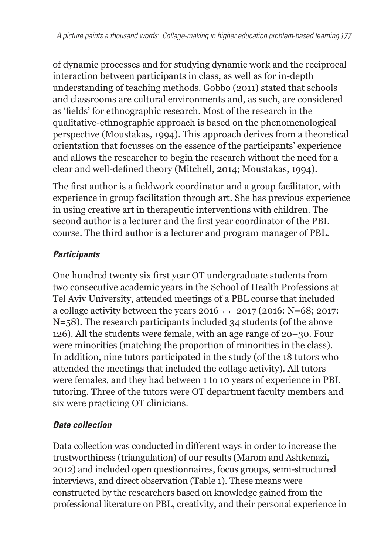of dynamic processes and for studying dynamic work and the reciprocal interaction between participants in class, as well as for in-depth understanding of teaching methods. Gobbo (2011) stated that schools and classrooms are cultural environments and, as such, are considered as 'fields' for ethnographic research. Most of the research in the qualitative-ethnographic approach is based on the phenomenological perspective (Moustakas, 1994). This approach derives from a theoretical orientation that focusses on the essence of the participants' experience and allows the researcher to begin the research without the need for a clear and well-defined theory (Mitchell, 2014; Moustakas, 1994).

The first author is a fieldwork coordinator and a group facilitator, with experience in group facilitation through art. She has previous experience in using creative art in therapeutic interventions with children. The second author is a lecturer and the first year coordinator of the PBL course. The third author is a lecturer and program manager of PBL.

### *Participants*

One hundred twenty six first year OT undergraduate students from two consecutive academic years in the School of Health Professions at Tel Aviv University, attended meetings of a PBL course that included a collage activity between the years  $2016 - -2017$  (2016: N=68; 2017: N=58). The research participants included 34 students (of the above 126). All the students were female, with an age range of 20–30. Four were minorities (matching the proportion of minorities in the class). In addition, nine tutors participated in the study (of the 18 tutors who attended the meetings that included the collage activity). All tutors were females, and they had between 1 to 10 years of experience in PBL tutoring. Three of the tutors were OT department faculty members and six were practicing OT clinicians.

## *Data collection*

Data collection was conducted in different ways in order to increase the trustworthiness (triangulation) of our results (Marom and Ashkenazi, 2012) and included open questionnaires, focus groups, semi-structured interviews, and direct observation (Table 1). These means were constructed by the researchers based on knowledge gained from the professional literature on PBL, creativity, and their personal experience in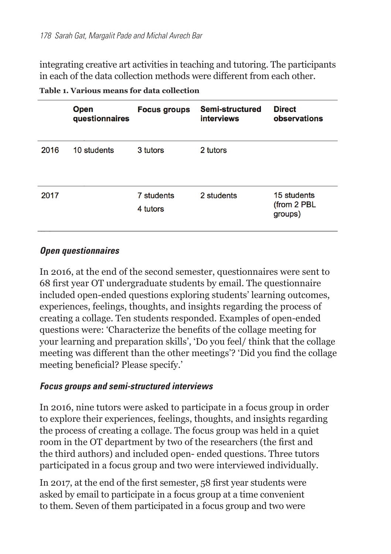integrating creative art activities in teaching and tutoring. The participants in each of the data collection methods were different from each other.

|      | <b>Open</b><br>questionnaires | <b>Focus groups</b>    | Semi-structured<br><i>interviews</i> | <b>Direct</b><br>observations          |
|------|-------------------------------|------------------------|--------------------------------------|----------------------------------------|
| 2016 | 10 students                   | 3 tutors               | 2 tutors                             |                                        |
| 2017 |                               | 7 students<br>4 tutors | 2 students                           | 15 students<br>(from 2 PBL)<br>groups) |

**Table 1. Various means for data collection**

#### *Open questionnaires*

In 2016, at the end of the second semester, questionnaires were sent to 68 first year OT undergraduate students by email. The questionnaire included open-ended questions exploring students' learning outcomes, experiences, feelings, thoughts, and insights regarding the process of creating a collage. Ten students responded. Examples of open-ended questions were: 'Characterize the benefits of the collage meeting for your learning and preparation skills', 'Do you feel/ think that the collage meeting was different than the other meetings'? 'Did you find the collage meeting beneficial? Please specify.'

#### *Focus groups and semi-structured interviews*

In 2016, nine tutors were asked to participate in a focus group in order to explore their experiences, feelings, thoughts, and insights regarding the process of creating a collage. The focus group was held in a quiet room in the OT department by two of the researchers (the first and the third authors) and included open- ended questions. Three tutors participated in a focus group and two were interviewed individually.

In 2017, at the end of the first semester, 58 first year students were asked by email to participate in a focus group at a time convenient to them. Seven of them participated in a focus group and two were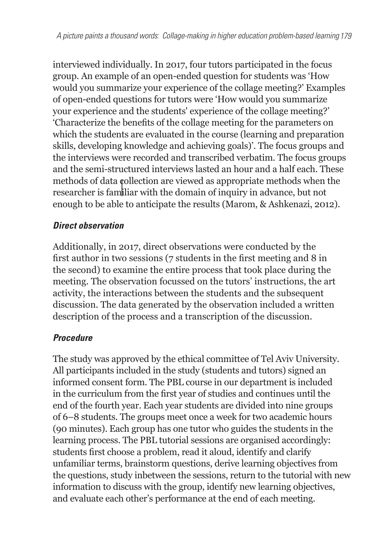interviewed individually. In 2017, four tutors participated in the focus group. An example of an open-ended question for students was 'How would you summarize your experience of the collage meeting?' Examples of open-ended questions for tutors were 'How would you summarize your experience and the students' experience of the collage meeting?' 'Characterize the benefits of the collage meeting for the parameters on which the students are evaluated in the course (learning and preparation skills, developing knowledge and achieving goals)'. The focus groups and the interviews were recorded and transcribed verbatim. The focus groups and the semi-structured interviews lasted an hour and a half each. These methods of data collection are viewed as appropriate methods when the researcher is familiar with the domain of inquiry in advance, but not enough to be able to anticipate the results (Marom, & Ashkenazi, 2012).

#### *Direct observation*

Additionally, in 2017, direct observations were conducted by the first author in two sessions (7 students in the first meeting and 8 in the second) to examine the entire process that took place during the meeting. The observation focussed on the tutors' instructions, the art activity, the interactions between the students and the subsequent discussion. The data generated by the observation included a written description of the process and a transcription of the discussion.

#### *Procedure*

The study was approved by the ethical committee of Tel Aviv University. All participants included in the study (students and tutors) signed an informed consent form. The PBL course in our department is included in the curriculum from the first year of studies and continues until the end of the fourth year. Each year students are divided into nine groups of 6–8 students. The groups meet once a week for two academic hours (90 minutes). Each group has one tutor who guides the students in the learning process. The PBL tutorial sessions are organised accordingly: students first choose a problem, read it aloud, identify and clarify unfamiliar terms, brainstorm questions, derive learning objectives from the questions, study inbetween the sessions, return to the tutorial with new information to discuss with the group, identify new learning objectives, and evaluate each other's performance at the end of each meeting.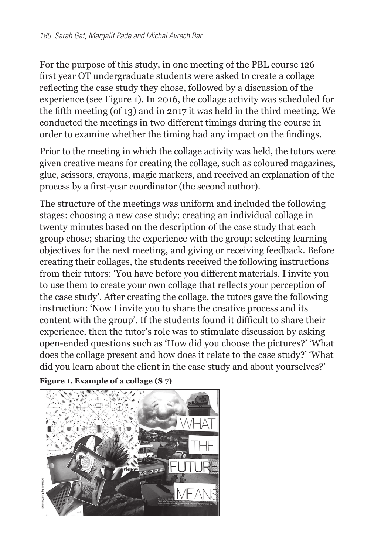For the purpose of this study, in one meeting of the PBL course 126 first year OT undergraduate students were asked to create a collage reflecting the case study they chose, followed by a discussion of the experience (see Figure 1). In 2016, the collage activity was scheduled for the fifth meeting (of 13) and in 2017 it was held in the third meeting. We conducted the meetings in two different timings during the course in order to examine whether the timing had any impact on the findings.

Prior to the meeting in which the collage activity was held, the tutors were given creative means for creating the collage, such as coloured magazines, glue, scissors, crayons, magic markers, and received an explanation of the process by a first-year coordinator (the second author).

The structure of the meetings was uniform and included the following stages: choosing a new case study; creating an individual collage in twenty minutes based on the description of the case study that each group chose; sharing the experience with the group; selecting learning objectives for the next meeting, and giving or receiving feedback. Before creating their collages, the students received the following instructions from their tutors: 'You have before you different materials. I invite you to use them to create your own collage that reflects your perception of the case study'. After creating the collage, the tutors gave the following instruction: 'Now I invite you to share the creative process and its content with the group'. If the students found it difficult to share their experience, then the tutor's role was to stimulate discussion by asking open-ended questions such as 'How did you choose the pictures?' 'What does the collage present and how does it relate to the case study?' 'What did you learn about the client in the case study and about yourselves?'

```
Figure 1. Example of a collage (S 7)
```
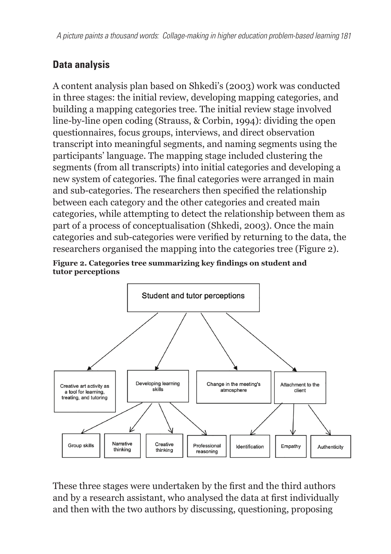*A picture paints a thousand words: Collage-making in higher education problem-based learning 181*

## **Data analysis**

A content analysis plan based on Shkedi's (2003) work was conducted in three stages: the initial review, developing mapping categories, and building a mapping categories tree. The initial review stage involved line-by-line open coding (Strauss, & Corbin, 1994): dividing the open questionnaires, focus groups, interviews, and direct observation transcript into meaningful segments, and naming segments using the participants' language. The mapping stage included clustering the segments (from all transcripts) into initial categories and developing a new system of categories. The final categories were arranged in main and sub-categories. The researchers then specified the relationship between each category and the other categories and created main categories, while attempting to detect the relationship between them as part of a process of conceptualisation (Shkedi, 2003). Once the main categories and sub-categories were verified by returning to the data, the researchers organised the mapping into the categories tree (Figure 2).





These three stages were undertaken by the first and the third authors and by a research assistant, who analysed the data at first individually and then with the two authors by discussing, questioning, proposing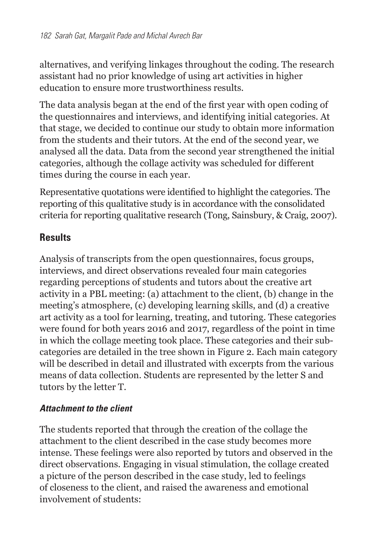alternatives, and verifying linkages throughout the coding. The research assistant had no prior knowledge of using art activities in higher education to ensure more trustworthiness results.

The data analysis began at the end of the first year with open coding of the questionnaires and interviews, and identifying initial categories. At that stage, we decided to continue our study to obtain more information from the students and their tutors. At the end of the second year, we analysed all the data. Data from the second year strengthened the initial categories, although the collage activity was scheduled for different times during the course in each year.

Representative quotations were identified to highlight the categories. The reporting of this qualitative study is in accordance with the consolidated criteria for reporting qualitative research (Tong, Sainsbury, & Craig, 2007).

### **Results**

Analysis of transcripts from the open questionnaires, focus groups, interviews, and direct observations revealed four main categories regarding perceptions of students and tutors about the creative art activity in a PBL meeting: (a) attachment to the client, (b) change in the meeting's atmosphere, (c) developing learning skills, and (d) a creative art activity as a tool for learning, treating, and tutoring. These categories were found for both years 2016 and 2017, regardless of the point in time in which the collage meeting took place. These categories and their subcategories are detailed in the tree shown in Figure 2. Each main category will be described in detail and illustrated with excerpts from the various means of data collection. Students are represented by the letter S and tutors by the letter T.

#### *Attachment to the client*

The students reported that through the creation of the collage the attachment to the client described in the case study becomes more intense. These feelings were also reported by tutors and observed in the direct observations. Engaging in visual stimulation, the collage created a picture of the person described in the case study, led to feelings of closeness to the client, and raised the awareness and emotional involvement of students: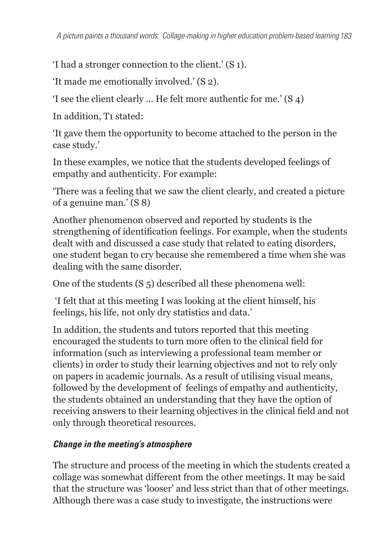'I had a stronger connection to the client.' (S 1).

'It made me emotionally involved.' (S 2).

'I see the client clearly … He felt more authentic for me.' (S 4)

In addition, T1 stated:

'It gave them the opportunity to become attached to the person in the case study.'

In these examples, we notice that the students developed feelings of empathy and authenticity. For example:

'There was a feeling that we saw the client clearly, and created a picture of a genuine man.' (S 8)

Another phenomenon observed and reported by students is the strengthening of identification feelings. For example, when the students dealt with and discussed a case study that related to eating disorders, one student began to cry because she remembered a time when she was dealing with the same disorder.

One of the students (S 5) described all these phenomena well:

 'I felt that at this meeting I was looking at the client himself, his feelings, his life, not only dry statistics and data.'

In addition, the students and tutors reported that this meeting encouraged the students to turn more often to the clinical field for information (such as interviewing a professional team member or clients) in order to study their learning objectives and not to rely only on papers in academic journals. As a result of utilising visual means, followed by the development of feelings of empathy and authenticity, the students obtained an understanding that they have the option of receiving answers to their learning objectives in the clinical field and not only through theoretical resources.

#### *Change in the meeting's atmosphere*

The structure and process of the meeting in which the students created a collage was somewhat different from the other meetings. It may be said that the structure was 'looser' and less strict than that of other meetings. Although there was a case study to investigate, the instructions were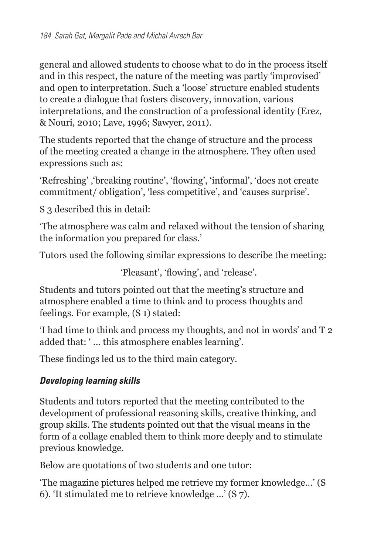general and allowed students to choose what to do in the process itself and in this respect, the nature of the meeting was partly 'improvised' and open to interpretation. Such a 'loose' structure enabled students to create a dialogue that fosters discovery, innovation, various interpretations, and the construction of a professional identity (Erez, & Nouri, 2010; Lave, 1996; Sawyer, 2011).

The students reported that the change of structure and the process of the meeting created a change in the atmosphere. They often used expressions such as:

'Refreshing', 'breaking routine', 'flowing', 'informal', 'does not create commitment/ obligation', 'less competitive', and 'causes surprise'.

S 3 described this in detail:

'The atmosphere was calm and relaxed without the tension of sharing the information you prepared for class.'

Tutors used the following similar expressions to describe the meeting:

'Pleasant', 'flowing', and 'release'.

Students and tutors pointed out that the meeting's structure and atmosphere enabled a time to think and to process thoughts and feelings. For example, (S 1) stated:

'I had time to think and process my thoughts, and not in words' and T 2 added that: ' ... this atmosphere enables learning'.

These findings led us to the third main category.

#### *Developing learning skills*

Students and tutors reported that the meeting contributed to the development of professional reasoning skills, creative thinking, and group skills. The students pointed out that the visual means in the form of a collage enabled them to think more deeply and to stimulate previous knowledge.

Below are quotations of two students and one tutor:

'The magazine pictures helped me retrieve my former knowledge…' (S 6). 'It stimulated me to retrieve knowledge …' (S 7).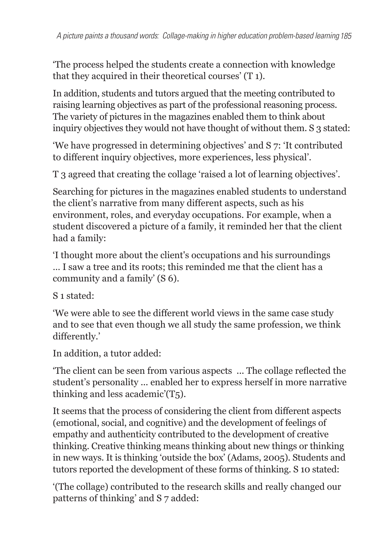'The process helped the students create a connection with knowledge that they acquired in their theoretical courses' (T 1).

In addition, students and tutors argued that the meeting contributed to raising learning objectives as part of the professional reasoning process. The variety of pictures in the magazines enabled them to think about inquiry objectives they would not have thought of without them. S 3 stated:

'We have progressed in determining objectives' and S 7: 'It contributed to different inquiry objectives, more experiences, less physical'.

T 3 agreed that creating the collage 'raised a lot of learning objectives'.

Searching for pictures in the magazines enabled students to understand the client's narrative from many different aspects, such as his environment, roles, and everyday occupations. For example, when a student discovered a picture of a family, it reminded her that the client had a family:

'I thought more about the client's occupations and his surroundings … I saw a tree and its roots; this reminded me that the client has a community and a family' (S 6).

S 1 stated:

'We were able to see the different world views in the same case study and to see that even though we all study the same profession, we think differently.'

In addition, a tutor added:

'The client can be seen from various aspects ... The collage reflected the student's personality ... enabled her to express herself in more narrative thinking and less academic'(T5).

It seems that the process of considering the client from different aspects (emotional, social, and cognitive) and the development of feelings of empathy and authenticity contributed to the development of creative thinking. Creative thinking means thinking about new things or thinking in new ways. It is thinking 'outside the box' (Adams, 2005). Students and tutors reported the development of these forms of thinking. S 10 stated:

'(The collage) contributed to the research skills and really changed our patterns of thinking' and S 7 added: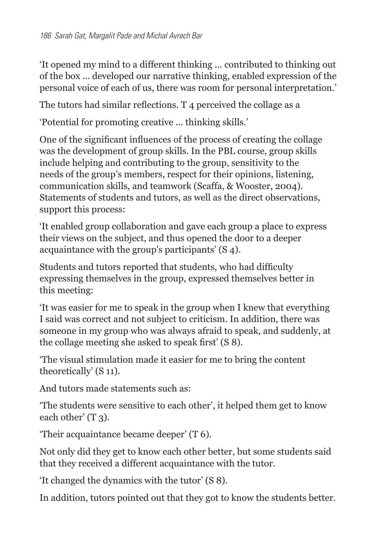'It opened my mind to a different thinking ... contributed to thinking out of the box ... developed our narrative thinking, enabled expression of the personal voice of each of us, there was room for personal interpretation.'

The tutors had similar reflections. T 4 perceived the collage as a

'Potential for promoting creative ... thinking skills.'

One of the significant influences of the process of creating the collage was the development of group skills. In the PBL course, group skills include helping and contributing to the group, sensitivity to the needs of the group's members, respect for their opinions, listening, communication skills, and teamwork (Scaffa, & Wooster, 2004). Statements of students and tutors, as well as the direct observations, support this process:

'It enabled group collaboration and gave each group a place to express their views on the subject, and thus opened the door to a deeper acquaintance with the group's participants' (S 4).

Students and tutors reported that students, who had difficulty expressing themselves in the group, expressed themselves better in this meeting:

'It was easier for me to speak in the group when I knew that everything I said was correct and not subject to criticism. In addition, there was someone in my group who was always afraid to speak, and suddenly, at the collage meeting she asked to speak first' (S 8).

'The visual stimulation made it easier for me to bring the content theoretically' (S 11).

And tutors made statements such as:

'The students were sensitive to each other', it helped them get to know each other' (T<sub>3</sub>).

'Their acquaintance became deeper' (T 6).

Not only did they get to know each other better, but some students said that they received a different acquaintance with the tutor.

'It changed the dynamics with the tutor' (S 8).

In addition, tutors pointed out that they got to know the students better.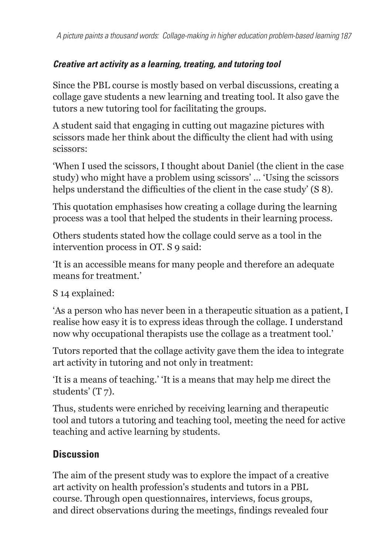### *Creative art activity as a learning, treating, and tutoring tool*

Since the PBL course is mostly based on verbal discussions, creating a collage gave students a new learning and treating tool. It also gave the tutors a new tutoring tool for facilitating the groups.

A student said that engaging in cutting out magazine pictures with scissors made her think about the difficulty the client had with using scissors:

'When I used the scissors, I thought about Daniel (the client in the case study) who might have a problem using scissors' ... 'Using the scissors helps understand the difficulties of the client in the case study' (S 8).

This quotation emphasises how creating a collage during the learning process was a tool that helped the students in their learning process.

Others students stated how the collage could serve as a tool in the intervention process in OT. S 9 said:

'It is an accessible means for many people and therefore an adequate means for treatment.'

S 14 explained:

'As a person who has never been in a therapeutic situation as a patient, I realise how easy it is to express ideas through the collage. I understand now why occupational therapists use the collage as a treatment tool.'

Tutors reported that the collage activity gave them the idea to integrate art activity in tutoring and not only in treatment:

'It is a means of teaching.' 'It is a means that may help me direct the students' (T 7).

Thus, students were enriched by receiving learning and therapeutic tool and tutors a tutoring and teaching tool, meeting the need for active teaching and active learning by students.

## **Discussion**

The aim of the present study was to explore the impact of a creative art activity on health profession's students and tutors in a PBL course. Through open questionnaires, interviews, focus groups, and direct observations during the meetings, findings revealed four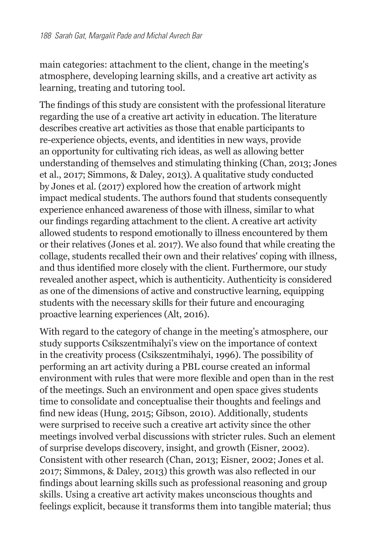main categories: attachment to the client, change in the meeting's atmosphere, developing learning skills, and a creative art activity as learning, treating and tutoring tool.

The findings of this study are consistent with the professional literature regarding the use of a creative art activity in education. The literature describes creative art activities as those that enable participants to re-experience objects, events, and identities in new ways, provide an opportunity for cultivating rich ideas, as well as allowing better understanding of themselves and stimulating thinking (Chan, 2013; Jones et al., 2017; Simmons, & Daley, 2013). A qualitative study conducted by Jones et al. (2017) explored how the creation of artwork might impact medical students. The authors found that students consequently experience enhanced awareness of those with illness, similar to what our findings regarding attachment to the client. A creative art activity allowed students to respond emotionally to illness encountered by them or their relatives (Jones et al. 2017). We also found that while creating the collage, students recalled their own and their relatives' coping with illness, and thus identified more closely with the client. Furthermore, our study revealed another aspect, which is authenticity. Authenticity is considered as one of the dimensions of active and constructive learning, equipping students with the necessary skills for their future and encouraging proactive learning experiences (Alt, 2016).

With regard to the category of change in the meeting's atmosphere, our study supports Csikszentmihalyi's view on the importance of context in the creativity process (Csikszentmihalyi, 1996). The possibility of performing an art activity during a PBL course created an informal environment with rules that were more flexible and open than in the rest of the meetings. Such an environment and open space gives students time to consolidate and conceptualise their thoughts and feelings and find new ideas (Hung, 2015; Gibson, 2010). Additionally, students were surprised to receive such a creative art activity since the other meetings involved verbal discussions with stricter rules. Such an element of surprise develops discovery, insight, and growth (Eisner, 2002). Consistent with other research (Chan, 2013; Eisner, 2002; Jones et al. 2017; Simmons, & Daley, 2013) this growth was also reflected in our findings about learning skills such as professional reasoning and group skills. Using a creative art activity makes unconscious thoughts and feelings explicit, because it transforms them into tangible material; thus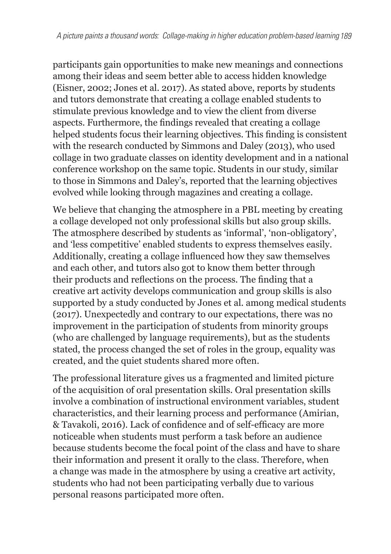participants gain opportunities to make new meanings and connections among their ideas and seem better able to access hidden knowledge (Eisner, 2002; Jones et al. 2017). As stated above, reports by students and tutors demonstrate that creating a collage enabled students to stimulate previous knowledge and to view the client from diverse aspects. Furthermore, the findings revealed that creating a collage helped students focus their learning objectives. This finding is consistent with the research conducted by Simmons and Daley (2013), who used collage in two graduate classes on identity development and in a national conference workshop on the same topic. Students in our study, similar to those in Simmons and Daley's, reported that the learning objectives evolved while looking through magazines and creating a collage.

We believe that changing the atmosphere in a PBL meeting by creating a collage developed not only professional skills but also group skills. The atmosphere described by students as 'informal', 'non-obligatory', and 'less competitive' enabled students to express themselves easily. Additionally, creating a collage influenced how they saw themselves and each other, and tutors also got to know them better through their products and reflections on the process. The finding that a creative art activity develops communication and group skills is also supported by a study conducted by Jones et al. among medical students (2017). Unexpectedly and contrary to our expectations, there was no improvement in the participation of students from minority groups (who are challenged by language requirements), but as the students stated, the process changed the set of roles in the group, equality was created, and the quiet students shared more often.

The professional literature gives us a fragmented and limited picture of the acquisition of oral presentation skills. Oral presentation skills involve a combination of instructional environment variables, student characteristics, and their learning process and performance (Amirian, & Tavakoli, 2016). Lack of confidence and of self-efficacy are more noticeable when students must perform a task before an audience because students become the focal point of the class and have to share their information and present it orally to the class. Therefore, when a change was made in the atmosphere by using a creative art activity, students who had not been participating verbally due to various personal reasons participated more often.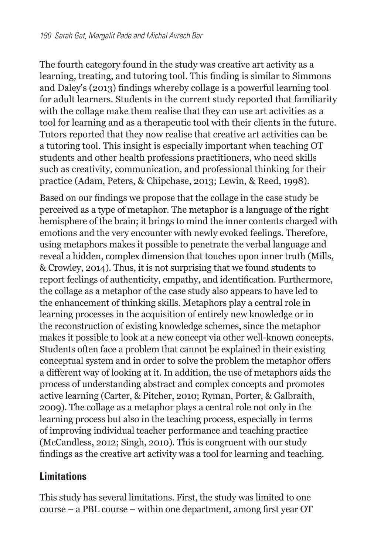The fourth category found in the study was creative art activity as a learning, treating, and tutoring tool. This finding is similar to Simmons and Daley's (2013) findings whereby collage is a powerful learning tool for adult learners. Students in the current study reported that familiarity with the collage make them realise that they can use art activities as a tool for learning and as a therapeutic tool with their clients in the future. Tutors reported that they now realise that creative art activities can be a tutoring tool. This insight is especially important when teaching OT students and other health professions practitioners, who need skills such as creativity, communication, and professional thinking for their practice (Adam, Peters, & Chipchase, 2013; Lewin, & Reed, 1998).

Based on our findings we propose that the collage in the case study be perceived as a type of metaphor. The metaphor is a language of the right hemisphere of the brain; it brings to mind the inner contents charged with emotions and the very encounter with newly evoked feelings. Therefore, using metaphors makes it possible to penetrate the verbal language and reveal a hidden, complex dimension that touches upon inner truth (Mills, & Crowley, 2014). Thus, it is not surprising that we found students to report feelings of authenticity, empathy, and identification. Furthermore, the collage as a metaphor of the case study also appears to have led to the enhancement of thinking skills. Metaphors play a central role in learning processes in the acquisition of entirely new knowledge or in the reconstruction of existing knowledge schemes, since the metaphor makes it possible to look at a new concept via other well-known concepts. Students often face a problem that cannot be explained in their existing conceptual system and in order to solve the problem the metaphor offers a different way of looking at it. In addition, the use of metaphors aids the process of understanding abstract and complex concepts and promotes active learning (Carter, & Pitcher, 2010; Ryman, Porter, & Galbraith, 2009). The collage as a metaphor plays a central role not only in the learning process but also in the teaching process, especially in terms of improving individual teacher performance and teaching practice (McCandless, 2012; Singh, 2010). This is congruent with our study findings as the creative art activity was a tool for learning and teaching.

#### **Limitations**

This study has several limitations. First, the study was limited to one course – a PBL course – within one department, among first year OT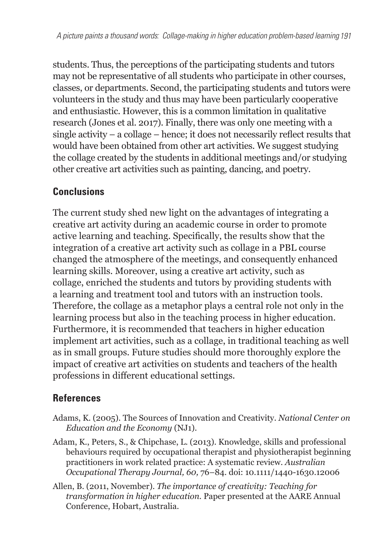students. Thus, the perceptions of the participating students and tutors may not be representative of all students who participate in other courses, classes, or departments. Second, the participating students and tutors were volunteers in the study and thus may have been particularly cooperative and enthusiastic. However, this is a common limitation in qualitative research (Jones et al. 2017). Finally, there was only one meeting with a single activity – a collage – hence; it does not necessarily reflect results that would have been obtained from other art activities. We suggest studying the collage created by the students in additional meetings and/or studying other creative art activities such as painting, dancing, and poetry.

## **Conclusions**

The current study shed new light on the advantages of integrating a creative art activity during an academic course in order to promote active learning and teaching. Specifically, the results show that the integration of a creative art activity such as collage in a PBL course changed the atmosphere of the meetings, and consequently enhanced learning skills. Moreover, using a creative art activity, such as collage, enriched the students and tutors by providing students with a learning and treatment tool and tutors with an instruction tools. Therefore, the collage as a metaphor plays a central role not only in the learning process but also in the teaching process in higher education. Furthermore, it is recommended that teachers in higher education implement art activities, such as a collage, in traditional teaching as well as in small groups. Future studies should more thoroughly explore the impact of creative art activities on students and teachers of the health professions in different educational settings.

### **References**

- Adams, K. (2005). The Sources of Innovation and Creativity. *National Center on Education and the Economy* (NJ1).
- Adam, K., Peters, S., & Chipchase, L. (2013). Knowledge, skills and professional behaviours required by occupational therapist and physiotherapist beginning practitioners in work related practice: A systematic review. *Australian Occupational Therapy Journal, 60,* 76–84. doi: 10.1111/1440-1630.12006
- Allen, B. (2011, November). *The importance of creativity: Teaching for transformation in higher education.* Paper presented at the AARE Annual Conference, Hobart, Australia.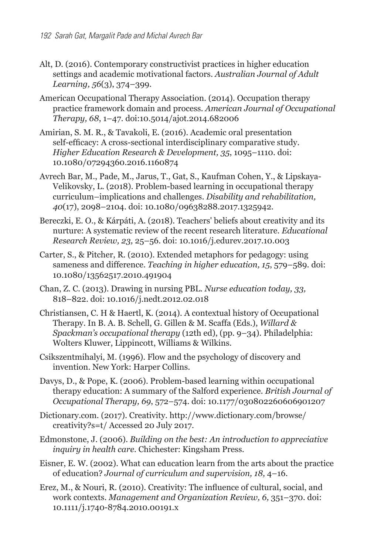- Alt, D. (2016). Contemporary constructivist practices in higher education settings and academic motivational factors. *Australian Journal of Adult Learning, 56*(3), 374–399.
- American Occupational Therapy Association. (2014). Occupation therapy practice framework domain and process. *American Journal of Occupational Therapy, 68*, 1–47. doi:10.5014/ajot.2014.682006
- Amirian, S. M. R., & Tavakoli, E. (2016). Academic oral presentation self-efficacy: A cross-sectional interdisciplinary comparative study. *Higher Education Research & Development, 35*, 1095–1110. doi: 10.1080/07294360.2016.1160874
- Avrech Bar, M., Pade, M., Jarus, T., Gat, S., Kaufman Cohen, Y., & Lipskaya-Velikovsky, L. (2018). Problem-based learning in occupational therapy curriculum–implications and challenges. *Disability and rehabilitation, 40*(17), 2098–2104. doi: 10.1080/09638288.2017.1325942.
- Bereczki, E. O., & Kárpáti, A. (2018). Teachers' beliefs about creativity and its nurture: A systematic review of the recent research literature. *Educational Research Review, 23,* 25–56. doi: 10.1016/j.edurev.2017.10.003
- Carter, S., & Pitcher, R. (2010). Extended metaphors for pedagogy: using sameness and difference. *Teaching in higher education, 15*, 579–589. doi: 10.1080/13562517.2010.491904
- Chan, Z. C. (2013). Drawing in nursing PBL. *Nurse education today, 33,* 818–822. doi: 10.1016/j.nedt.2012.02.018
- Christiansen, C. H & Haertl, K. (2014). A contextual history of Occupational Therapy. In B. A. B. Schell, G. Gillen & M. Scaffa (Eds.), *Willard & Spackman's occupational therapy* (12th ed), (pp. 9–34). Philadelphia: Wolters Kluwer, Lippincott, Williams & Wilkins.
- Csikszentmihalyi, M. (1996). Flow and the psychology of discovery and invention. New York: Harper Collins.
- Davys, D., & Pope, K. (2006). Problem-based learning within occupational therapy education: A summary of the Salford experience. *British Journal of Occupational Therapy, 69*, 572–574. doi: 10.1177/030802260606901207
- Dictionary.com. (2017). Creativity. http://www.dictionary.com/browse/ creativity?s=t/ Accessed 20 July 2017.
- Edmonstone, J. (2006). *Building on the best: An introduction to appreciative inquiry in health care.* Chichester: Kingsham Press.
- Eisner, E. W. (2002). What can education learn from the arts about the practice of education? *Journal of curriculum and supervision, 18,* 4–16.
- Erez, M., & Nouri, R. (2010). Creativity: The influence of cultural, social, and work contexts. *Management and Organization Review, 6,* 351–370. doi: 10.1111/j.1740-8784.2010.00191.x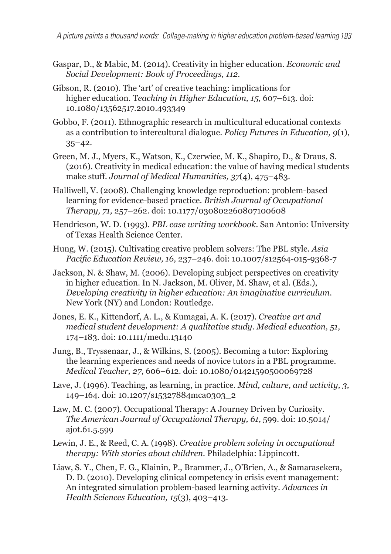*A picture paints a thousand words: Collage-making in higher education problem-based learning 193*

- Gaspar, D., & Mabic, M. (2014). Creativity in higher education. *Economic and Social Development: Book of Proceedings, 112.*
- Gibson, R. (2010). The 'art' of creative teaching: implications for higher education. T*eaching in Higher Education, 15,* 607–613. doi: 10.1080/13562517.2010.493349
- Gobbo, F. (2011). Ethnographic research in multicultural educational contexts as a contribution to intercultural dialogue. *Policy Futures in Education, 9*(1),  $35 - 42.$
- Green, M. J., Myers, K., Watson, K., Czerwiec, M. K., Shapiro, D., & Draus, S. (2016). Creativity in medical education: the value of having medical students make stuff. *Journal of Medical Humanities, 37*(4), 475–483.
- Halliwell, V. (2008). Challenging knowledge reproduction: problem-based learning for evidence-based practice. *British Journal of Occupational Therapy, 71,* 257–262. doi: 10.1177/030802260807100608
- Hendricson, W. D. (1993). *PBL case writing workbook*. San Antonio: University of Texas Health Science Center.
- Hung, W. (2015). Cultivating creative problem solvers: The PBL style. *Asia Pacific Education Review, 16,* 237–246. doi: 10.1007/s12564-015-9368-7
- Jackson, N. & Shaw, M. (2006). Developing subject perspectives on creativity in higher education. In N. Jackson, M. Oliver, M. Shaw, et al. (Eds.), *Developing creativity in higher education: An imaginative curriculum*. New York (NY) and London: Routledge.
- Jones, E. K., Kittendorf, A. L., & Kumagai, A. K. (2017). *Creative art and medical student development: A qualitative study. Medical education, 51,* 174–183. doi: 10.1111/medu.13140
- Jung, B., Tryssenaar, J., & Wilkins, S. (2005). Becoming a tutor: Exploring the learning experiences and needs of novice tutors in a PBL programme. *Medical Teacher, 27*, 606–612. doi: 10.1080/01421590500069728
- Lave, J. (1996). Teaching, as learning, in practice. *Mind, culture, and activity, 3,* 149–164. doi: 10.1207/s15327884mca0303\_2
- Law, M. C. (2007). Occupational Therapy: A Journey Driven by Curiosity. *The American Journal of Occupational Therapy, 61*, 599. doi: 10.5014/ ajot.61.5.599
- Lewin, J. E., & Reed, C. A. (1998). *Creative problem solving in occupational therapy: With stories about children.* Philadelphia: Lippincott.
- Liaw, S. Y., Chen, F. G., Klainin, P., Brammer, J., O'Brien, A., & Samarasekera, D. D. (2010). Developing clinical competency in crisis event management: An integrated simulation problem-based learning activity. *Advances in Health Sciences Education, 15*(3), 403–413.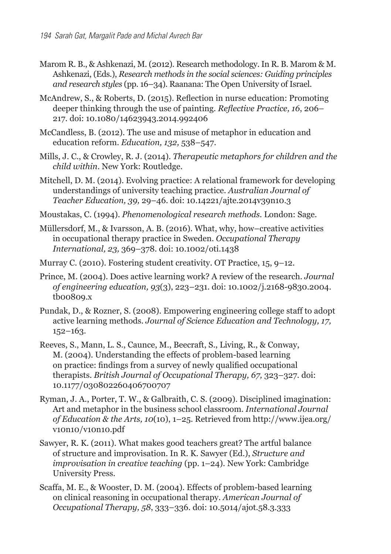- Marom R. B., & Ashkenazi, M. (2012). Research methodology. In R. B. Marom & M. Ashkenazi, (Eds.), *Research methods in the social sciences: Guiding principles and research styles* (pp. 16–34). Raanana: The Open University of Israel.
- McAndrew, S., & Roberts, D. (2015). Reflection in nurse education: Promoting deeper thinking through the use of painting. *Reflective Practice, 16*, 206– 217. doi: 10.1080/14623943.2014.992406
- McCandless, B. (2012). The use and misuse of metaphor in education and education reform. *Education, 132,* 538–547.
- Mills, J. C., & Crowley, R. J. (2014). *Therapeutic metaphors for children and the child within*. New York: Routledge.
- Mitchell, D. M. (2014). Evolving practice: A relational framework for developing understandings of university teaching practice. *Australian Journal of Teacher Education, 39,* 29–46. doi: 10.14221/ajte.2014v39n10.3
- Moustakas, C. (1994). *Phenomenological research methods.* London: Sage.
- Müllersdorf, M., & Ivarsson, A. B. (2016). What, why, how–creative activities in occupational therapy practice in Sweden. *Occupational Therapy International, 23,* 369–378. doi: 10.1002/oti.1438
- Murray C. (2010). Fostering student creativity. OT Practice, 15, 9–12.
- Prince, M. (2004). Does active learning work? A review of the research. *Journal of engineering education, 93*(3), 223–231. doi: 10.1002/j.2168-9830.2004. tb00809.x
- Pundak, D., & Rozner, S. (2008). Empowering engineering college staff to adopt active learning methods. *Journal of Science Education and Technology, 17,*  152–163.
- Reeves, S., Mann, L. S., Caunce, M., Beecraft, S., Living, R., & Conway, M. (2004). Understanding the effects of problem-based learning on practice: findings from a survey of newly qualified occupational therapists. *British Journal of Occupational Therapy, 67,* 323–327. doi: 10.1177/030802260406700707
- Ryman, J. A., Porter, T. W., & Galbraith, C. S. (2009). Disciplined imagination: Art and metaphor in the business school classroom. *International Journal of Education & the Arts, 10*(10), 1–25. Retrieved from http://www.ijea.org/ v10n10/v10n10.pdf
- Sawyer, R. K. (2011). What makes good teachers great? The artful balance of structure and improvisation. In R. K. Sawyer (Ed.), *Structure and improvisation in creative teaching* (pp. 1–24). New York: Cambridge University Press.
- Scaffa, M. E., & Wooster, D. M. (2004). Effects of problem-based learning on clinical reasoning in occupational therapy. *American Journal of Occupational Therapy, 58*, 333–336. doi: 10.5014/ajot.58.3.333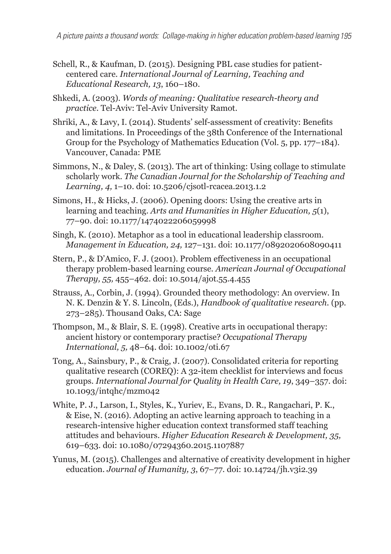- Schell, R., & Kaufman, D. (2015). Designing PBL case studies for patientcentered care. *International Journal of Learning, Teaching and Educational Research, 13*, 160–180.
- Shkedi, A. (2003). *Words of meaning: Qualitative research-theory and practice.* Tel-Aviv: Tel-Aviv University Ramot.
- Shriki, A., & Lavy, I. (2014). Students' self-assessment of creativity: Benefits and limitations. In Proceedings of the 38th Conference of the International Group for the Psychology of Mathematics Education (Vol. 5, pp. 177–184). Vancouver, Canada: PME
- Simmons, N., & Daley, S. (2013). The art of thinking: Using collage to stimulate scholarly work. *The Canadian Journal for the Scholarship of Teaching and Learning, 4,* 1–10. doi: 10.5206/cjsotl-rcacea.2013.1.2
- Simons, H., & Hicks, J. (2006). Opening doors: Using the creative arts in learning and teaching. *Arts and Humanities in Higher Education, 5*(1), 77–90. doi: 10.1177/1474022206059998
- Singh, K. (2010). Metaphor as a tool in educational leadership classroom. *Management in Education, 24,* 127–131. doi: 10.1177/0892020608090411
- Stern, P., & D'Amico, F. J. (2001). Problem effectiveness in an occupational therapy problem-based learning course. *American Journal of Occupational Therapy, 55,* 455–462. doi: 10.5014/ajot.55.4.455
- Strauss, A., Corbin, J. (1994). Grounded theory methodology: An overview. In N. K. Denzin & Y. S. Lincoln, (Eds.), *Handbook of qualitative research.* (pp. 273–285). Thousand Oaks, CA: Sage
- Thompson, M., & Blair, S. E. (1998). Creative arts in occupational therapy: ancient history or contemporary practise? *Occupational Therapy International, 5,* 48–64. doi: 10.1002/oti.67
- Tong, A., Sainsbury, P., & Craig, J. (2007). Consolidated criteria for reporting qualitative research (COREQ): A 32-item checklist for interviews and focus groups. *International Journal for Quality in Health Care, 19*, 349–357. doi: 10.1093/intqhc/mzm042
- White, P. J., Larson, I., Styles, K., Yuriev, E., Evans, D. R., Rangachari, P. K., & Eise, N. (2016). Adopting an active learning approach to teaching in a research-intensive higher education context transformed staff teaching attitudes and behaviours. *Higher Education Research & Development, 35,* 619–633. doi: 10.1080/07294360.2015.1107887
- Yunus, M. (2015). Challenges and alternative of creativity development in higher education. *Journal of Humanity, 3*, 67–77. doi: 10.14724/jh.v3i2.39